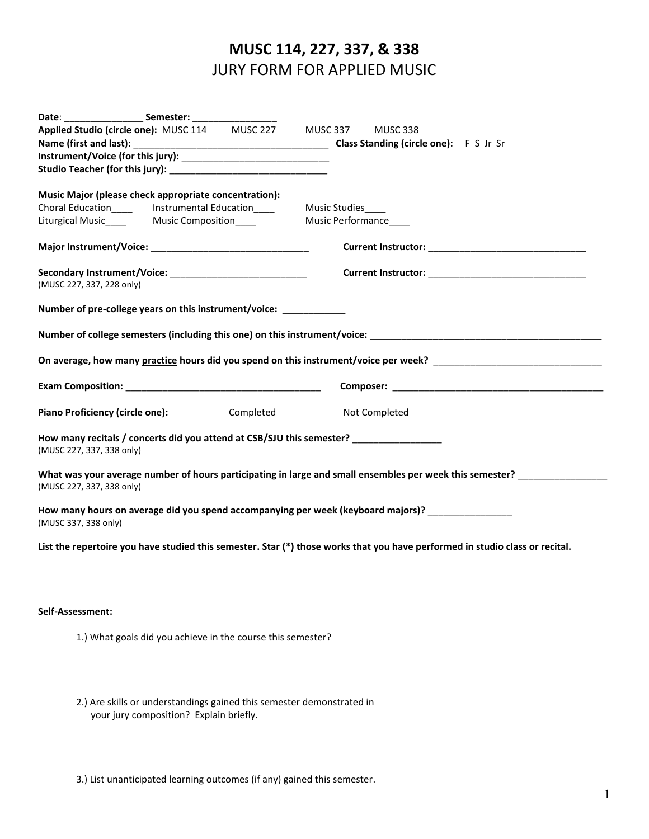## **MUSC 114, 227, 337, & 338** JURY FORM FOR APPLIED MUSIC

| Date: _______________________Semester: |                                                                                       |                                                                                                                              |
|----------------------------------------|---------------------------------------------------------------------------------------|------------------------------------------------------------------------------------------------------------------------------|
|                                        | Applied Studio (circle one): MUSC 114 MUSC 227 MUSC 337 MUSC 338                      |                                                                                                                              |
|                                        |                                                                                       |                                                                                                                              |
|                                        |                                                                                       |                                                                                                                              |
|                                        |                                                                                       |                                                                                                                              |
|                                        | Music Major (please check appropriate concentration):                                 |                                                                                                                              |
|                                        | Choral Education________ Instrumental Education_____________ Music Studies_____       |                                                                                                                              |
|                                        | Liturgical Music___________ Music Composition_________________ Music Performance_____ |                                                                                                                              |
|                                        |                                                                                       |                                                                                                                              |
| (MUSC 227, 337, 228 only)              |                                                                                       |                                                                                                                              |
|                                        | Number of pre-college years on this instrument/voice: ____________                    |                                                                                                                              |
|                                        |                                                                                       | Number of college semesters (including this one) on this instrument/voice: ___________________________________               |
|                                        |                                                                                       | On average, how many practice hours did you spend on this instrument/voice per week?                                         |
|                                        |                                                                                       |                                                                                                                              |
| <b>Piano Proficiency (circle one):</b> | Completed                                                                             | Not Completed                                                                                                                |
| (MUSC 227, 337, 338 only)              | How many recitals / concerts did you attend at CSB/SJU this semester? ____________    |                                                                                                                              |
| (MUSC 227, 337, 338 only)              |                                                                                       | What was your average number of hours participating in large and small ensembles per week this semester?                     |
| (MUSC 337, 338 only)                   |                                                                                       | How many hours on average did you spend accompanying per week (keyboard majors)?                                             |
|                                        |                                                                                       | List the repertoire you have studied this semester. Star (*) those works that you have performed in studio class or recital. |

## **Self-Assessment:**

1.) What goals did you achieve in the course this semester?

2.) Are skills or understandings gained this semester demonstrated in your jury composition? Explain briefly.

3.) List unanticipated learning outcomes (if any) gained this semester.